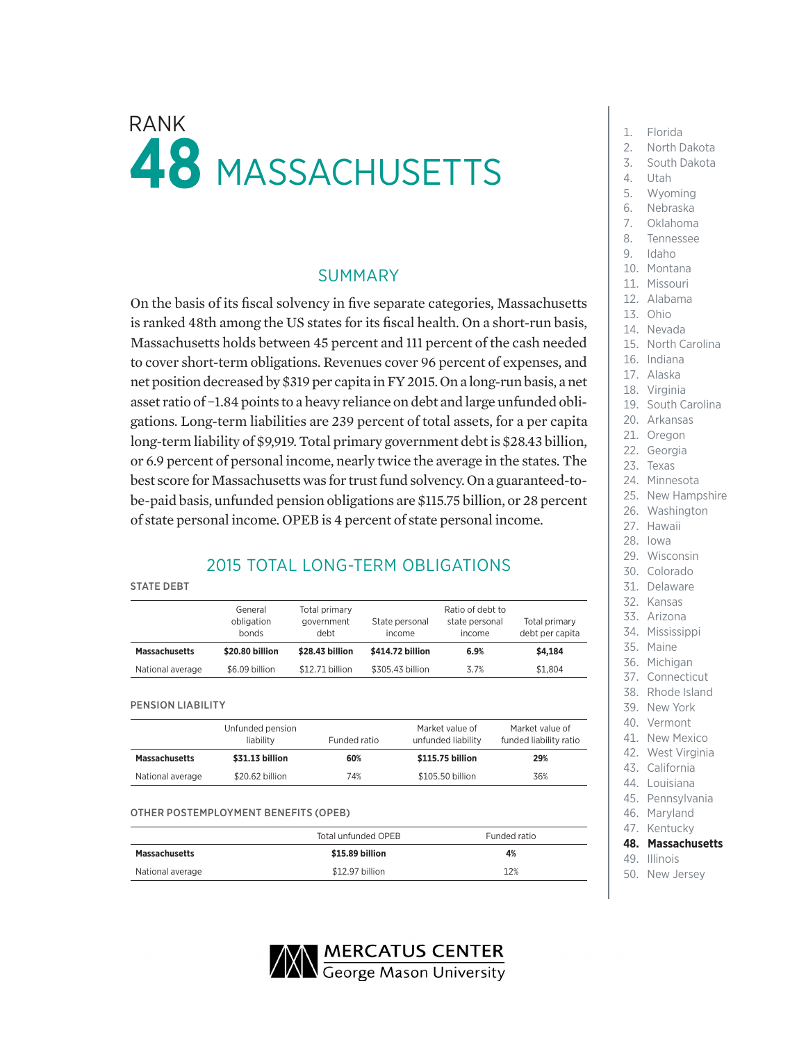# $\mathsf{RANK}$  1. Florida **48 MASSACHUSETTS**

### SUMMARY

On the basis of its fiscal solvency in five separate categories, Massachusetts is ranked 48th among the US states for its fiscal health. On a short-run basis, Massachusetts holds between 45 percent and 111 percent of the cash needed to cover short-term obligations. Revenues cover 96 percent of expenses, and net position decreased by \$319 per capita in FY 2015. On a long-run basis, a net asset ratio of −1.84 points to a heavy reliance on debt and large unfunded obligations. Long-term liabilities are 239 percent of total assets, for a per capita long-term liability of \$9,919. Total primary government debt is \$28.43 billion, or 6.9 percent of personal income, nearly twice the average in the states. The best score for Massachusetts was for trust fund solvency. On a guaranteed-tobe-paid basis, unfunded pension obligations are \$115.75 billion, or 28 percent of state personal income. OPEB is 4 percent of state personal income.

## 2015 TOTAL LONG-TERM OBLIGATIONS

#### STATE DEBT

|                      | General<br>obligation<br>bonds | Total primary<br>government<br>debt | State personal<br>income |      | Total primary<br>debt per capita |
|----------------------|--------------------------------|-------------------------------------|--------------------------|------|----------------------------------|
| <b>Massachusetts</b> | \$20,80 billion                | \$28.43 billion                     | \$414.72 billion         | 6.9% | \$4,184                          |
| National average     | \$6.09 billion                 | \$12.71 billion                     | \$305.43 billion         | 3.7% | \$1.804                          |

PENSION LIABILITY

|                      | Unfunded pension<br>liability<br>Funded ratio |     | Market value of<br>Market value of<br>unfunded liability<br>funded liability ratio |     |
|----------------------|-----------------------------------------------|-----|------------------------------------------------------------------------------------|-----|
| <b>Massachusetts</b> | \$31.13 billion                               | 60% | \$115.75 billion                                                                   | 29% |
| National average     | \$20.62 billion                               | 74% | \$105.50 billion                                                                   | 36% |

#### OTHER POSTEMPLOYMENT BENEFITS (OPEB)

|                      | Total unfunded OPEB | Funded ratio |  |
|----------------------|---------------------|--------------|--|
| <b>Massachusetts</b> | \$15.89 billion     | 4%           |  |
| National average     | \$12.97 billion     | 12%          |  |



- 
- 2. North Dakota
- 3. South Dakota
- 4. Utah
- 5. Wyoming
- 6. Nebraska
- 7. Oklahoma
- 8. Tennessee
- 9. Idaho
- 
- 10. Montana
- 11. Missouri
- 12. Alabama
- 13. Ohio
- 14. Nevada
- 15. North Carolina
- 16. Indiana
- 17. Alaska
- 18. Virginia
- 19. South Carolina
- 20. Arkansas
- 21. Oregon
- 22. Georgia
- 23. Texas
- 24. Minnesota
- 25. New Hampshire
- 26. Washington
- 27. Hawaii
- 28. Iowa
- 29. Wisconsin
- 30. Colorado
- 31. Delaware
- 32. Kansas
- 33. Arizona
- 34. Mississippi
- 35. Maine
- 36. Michigan
- 37. Connecticut
- 38. Rhode Island
- 39. New York
- 40. Vermont
- 41. New Mexico
- 
- 43. California
- 44. Louisiana
- 45. Pennsylvania
- 
- 47. Kentucky
- **48. Massachusetts**
- 
- 
- 
- 
- 
- 42. West Virginia
- 
- 
- 
- 
- 
- 49. Illinois
- 50. New Jersey
- 
- 
- 
- 
- 
- 
- 
- 46. Maryland
-